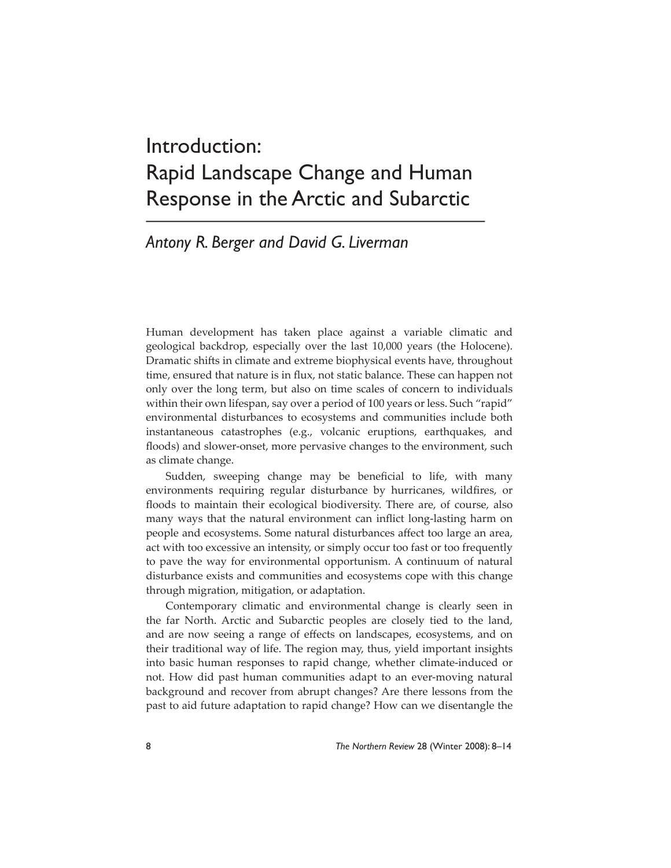# Introduction: Rapid Landscape Change and Human Response in the Arctic and Subarctic

# *Antony R. Berger and David G. Liverman*

Human development has taken place against a variable climatic and geological backdrop, especially over the last 10,000 years (the Holocene). Dramatic shifts in climate and extreme biophysical events have, throughout time, ensured that nature is in flux, not static balance. These can happen not only over the long term, but also on time scales of concern to individuals within their own lifespan, say over a period of 100 years or less. Such "rapid" environmental disturbances to ecosystems and communities include both instantaneous catastrophes (e.g., volcanic eruptions, earthquakes, and floods) and slower-onset, more pervasive changes to the environment, such as climate change.

Sudden, sweeping change may be beneficial to life, with many environments requiring regular disturbance by hurricanes, wildfires, or floods to maintain their ecological biodiversity. There are, of course, also many ways that the natural environment can inflict long-lasting harm on people and ecosystems. Some natural disturbances affect too large an area, act with too excessive an intensity, or simply occur too fast or too frequently to pave the way for environmental opportunism. A continuum of natural disturbance exists and communities and ecosystems cope with this change through migration, mitigation, or adaptation.

Contemporary climatic and environmental change is clearly seen in the far North. Arctic and Subarctic peoples are closely tied to the land, and are now seeing a range of effects on landscapes, ecosystems, and on their traditional way of life. The region may, thus, yield important insights into basic human responses to rapid change, whether climate-induced or not. How did past human communities adapt to an ever-moving natural background and recover from abrupt changes? Are there lessons from the past to aid future adaptation to rapid change? How can we disentangle the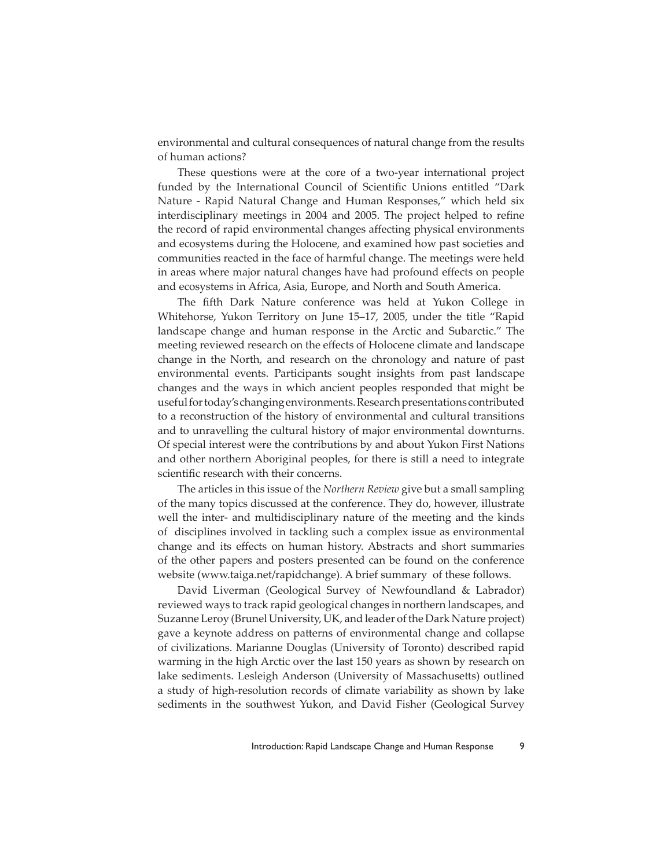environmental and cultural consequences of natural change from the results of human actions?

These questions were at the core of a two-year international project funded by the International Council of Scientific Unions entitled "Dark Nature - Rapid Natural Change and Human Responses," which held six interdisciplinary meetings in 2004 and 2005. The project helped to refine the record of rapid environmental changes affecting physical environments and ecosystems during the Holocene, and examined how past societies and communities reacted in the face of harmful change. The meetings were held in areas where major natural changes have had profound effects on people and ecosystems in Africa, Asia, Europe, and North and South America.

The fifth Dark Nature conference was held at Yukon College in Whitehorse, Yukon Territory on June 15–17, 2005, under the title "Rapid landscape change and human response in the Arctic and Subarctic." The meeting reviewed research on the effects of Holocene climate and landscape change in the North, and research on the chronology and nature of past environmental events. Participants sought insights from past landscape changes and the ways in which ancient peoples responded that might be useful for today's changing environments. Research presentations contributed to a reconstruction of the history of environmental and cultural transitions and to unravelling the cultural history of major environmental downturns. Of special interest were the contributions by and about Yukon First Nations and other northern Aboriginal peoples, for there is still a need to integrate scientific research with their concerns.

The articles in this issue of the *Northern Review* give but a small sampling of the many topics discussed at the conference. They do, however, illustrate well the inter- and multidisciplinary nature of the meeting and the kinds of disciplines involved in tackling such a complex issue as environmental change and its effects on human history. Abstracts and short summaries of the other papers and posters presented can be found on the conference website (www.taiga.net/rapidchange). A brief summary of these follows.

David Liverman (Geological Survey of Newfoundland & Labrador) reviewed ways to track rapid geological changes in northern landscapes, and Suzanne Leroy (Brunel University, UK, and leader of the Dark Nature project) gave a keynote address on patterns of environmental change and collapse of civilizations. Marianne Douglas (University of Toronto) described rapid warming in the high Arctic over the last 150 years as shown by research on lake sediments. Lesleigh Anderson (University of Massachusetts) outlined a study of high-resolution records of climate variability as shown by lake sediments in the southwest Yukon, and David Fisher (Geological Survey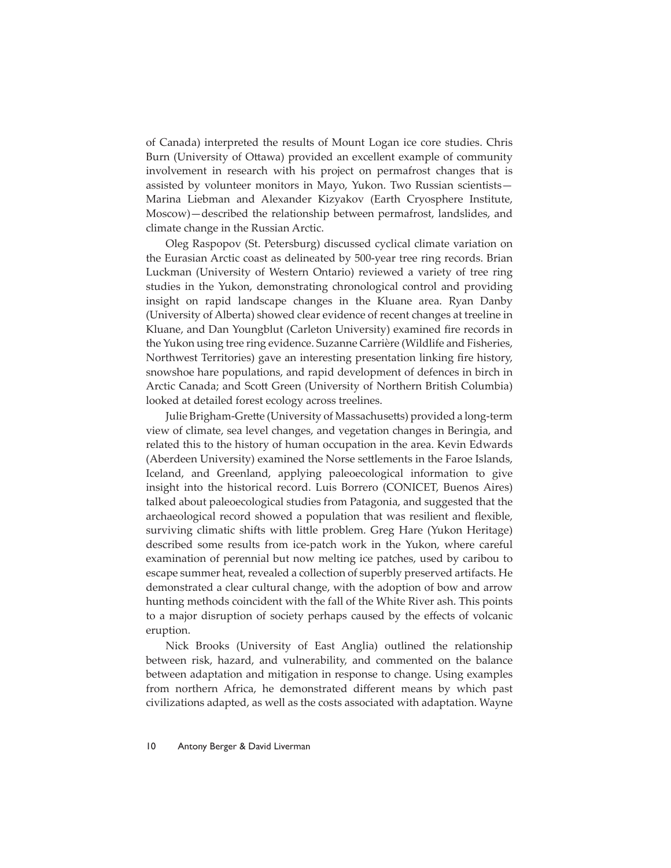of Canada) interpreted the results of Mount Logan ice core studies. Chris Burn (University of Ottawa) provided an excellent example of community involvement in research with his project on permafrost changes that is assisted by volunteer monitors in Mayo, Yukon. Two Russian scientists— Marina Liebman and Alexander Kizyakov (Earth Cryosphere Institute, Moscow)—described the relationship between permafrost, landslides, and climate change in the Russian Arctic.

Oleg Raspopov (St. Petersburg) discussed cyclical climate variation on the Eurasian Arctic coast as delineated by 500-year tree ring records. Brian Luckman (University of Western Ontario) reviewed a variety of tree ring studies in the Yukon, demonstrating chronological control and providing insight on rapid landscape changes in the Kluane area. Ryan Danby (University of Alberta) showed clear evidence of recent changes at treeline in Kluane, and Dan Youngblut (Carleton University) examined fire records in the Yukon using tree ring evidence. Suzanne Carrière (Wildlife and Fisheries, Northwest Territories) gave an interesting presentation linking fire history, snowshoe hare populations, and rapid development of defences in birch in Arctic Canada; and Scott Green (University of Northern British Columbia) looked at detailed forest ecology across treelines.

Julie Brigham-Grette (University of Massachusetts) provided a long-term view of climate, sea level changes, and vegetation changes in Beringia, and related this to the history of human occupation in the area. Kevin Edwards (Aberdeen University) examined the Norse settlements in the Faroe Islands, Iceland, and Greenland, applying paleoecological information to give insight into the historical record. Luis Borrero (CONICET, Buenos Aires) talked about paleoecological studies from Patagonia, and suggested that the archaeological record showed a population that was resilient and flexible, surviving climatic shifts with little problem. Greg Hare (Yukon Heritage) described some results from ice-patch work in the Yukon, where careful examination of perennial but now melting ice patches, used by caribou to escape summer heat, revealed a collection of superbly preserved artifacts. He demonstrated a clear cultural change, with the adoption of bow and arrow hunting methods coincident with the fall of the White River ash. This points to a major disruption of society perhaps caused by the effects of volcanic eruption.

Nick Brooks (University of East Anglia) outlined the relationship between risk, hazard, and vulnerability, and commented on the balance between adaptation and mitigation in response to change. Using examples from northern Africa, he demonstrated different means by which past civilizations adapted, as well as the costs associated with adaptation. Wayne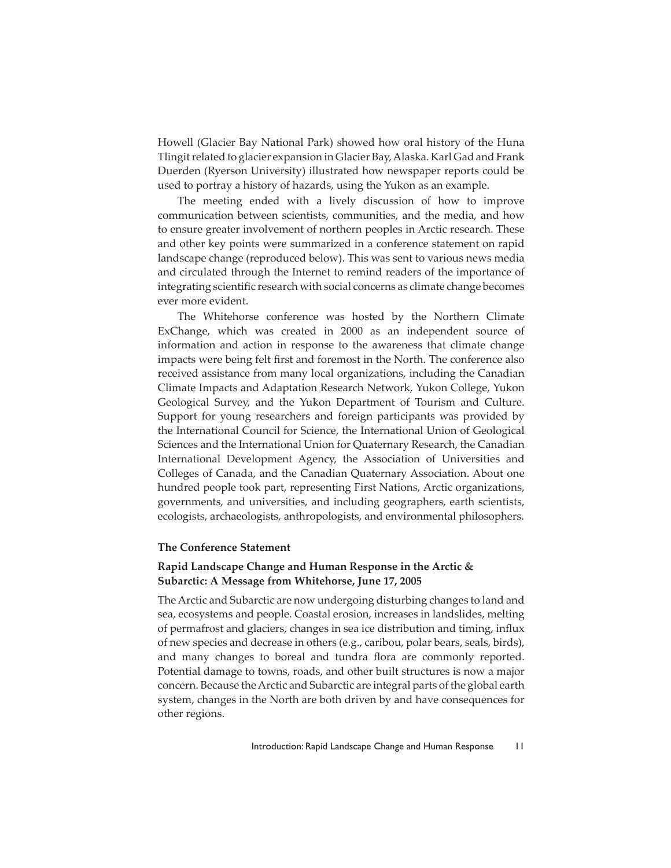Howell (Glacier Bay National Park) showed how oral history of the Huna Tlingit related to glacier expansion in Glacier Bay, Alaska. Karl Gad and Frank Duerden (Ryerson University) illustrated how newspaper reports could be used to portray a history of hazards, using the Yukon as an example.

The meeting ended with a lively discussion of how to improve communication between scientists, communities, and the media, and how to ensure greater involvement of northern peoples in Arctic research. These and other key points were summarized in a conference statement on rapid landscape change (reproduced below). This was sent to various news media and circulated through the Internet to remind readers of the importance of integrating scientific research with social concerns as climate change becomes ever more evident.

The Whitehorse conference was hosted by the Northern Climate ExChange, which was created in 2000 as an independent source of information and action in response to the awareness that climate change impacts were being felt first and foremost in the North. The conference also received assistance from many local organizations, including the Canadian Climate Impacts and Adaptation Research Network, Yukon College, Yukon Geological Survey, and the Yukon Department of Tourism and Culture. Support for young researchers and foreign participants was provided by the International Council for Science, the International Union of Geological Sciences and the International Union for Quaternary Research, the Canadian International Development Agency, the Association of Universities and Colleges of Canada, and the Canadian Quaternary Association. About one hundred people took part, representing First Nations, Arctic organizations, governments, and universities, and including geographers, earth scientists, ecologists, archaeologists, anthropologists, and environmental philosophers.

# **The Conference Statement**

# **Rapid Landscape Change and Human Response in the Arctic & Subarctic: A Message from Whitehorse, June 17, 2005**

The Arctic and Subarctic are now undergoing disturbing changes to land and sea, ecosystems and people. Coastal erosion, increases in landslides, melting of permafrost and glaciers, changes in sea ice distribution and timing, influx of new species and decrease in others (e.g., caribou, polar bears, seals, birds), and many changes to boreal and tundra flora are commonly reported. Potential damage to towns, roads, and other built structures is now a major concern. Because the Arctic and Subarctic are integral parts of the global earth system, changes in the North are both driven by and have consequences for other regions.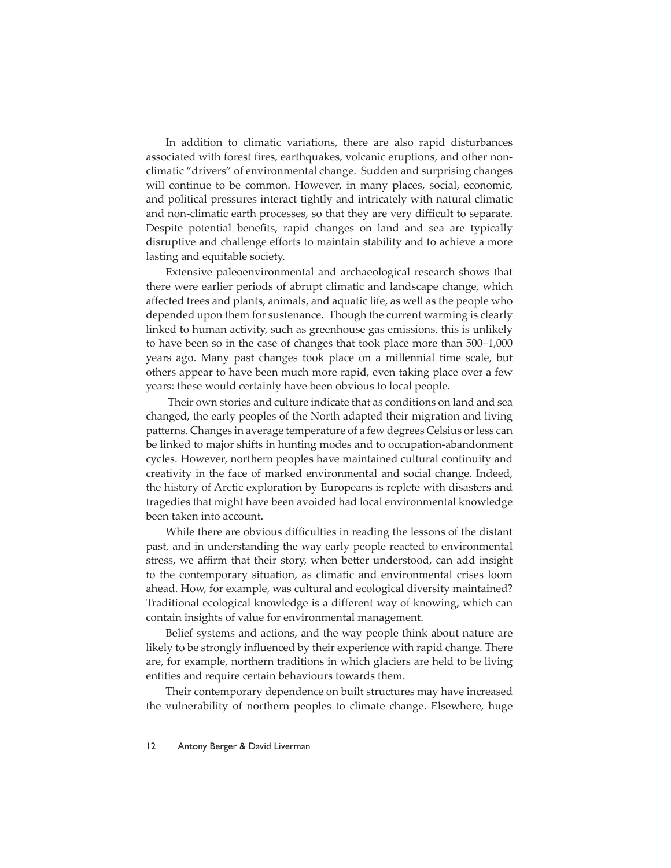In addition to climatic variations, there are also rapid disturbances associated with forest fires, earthquakes, volcanic eruptions, and other nonclimatic "drivers" of environmental change. Sudden and surprising changes will continue to be common. However, in many places, social, economic, and political pressures interact tightly and intricately with natural climatic and non-climatic earth processes, so that they are very difficult to separate. Despite potential benefits, rapid changes on land and sea are typically disruptive and challenge efforts to maintain stability and to achieve a more lasting and equitable society.

Extensive paleoenvironmental and archaeological research shows that there were earlier periods of abrupt climatic and landscape change, which affected trees and plants, animals, and aquatic life, as well as the people who depended upon them for sustenance. Though the current warming is clearly linked to human activity, such as greenhouse gas emissions, this is unlikely to have been so in the case of changes that took place more than 500–1,000 years ago. Many past changes took place on a millennial time scale, but others appear to have been much more rapid, even taking place over a few years: these would certainly have been obvious to local people.

 Their own stories and culture indicate that as conditions on land and sea changed, the early peoples of the North adapted their migration and living patterns. Changes in average temperature of a few degrees Celsius or less can be linked to major shifts in hunting modes and to occupation-abandonment cycles. However, northern peoples have maintained cultural continuity and creativity in the face of marked environmental and social change. Indeed, the history of Arctic exploration by Europeans is replete with disasters and tragedies that might have been avoided had local environmental knowledge been taken into account.

While there are obvious difficulties in reading the lessons of the distant past, and in understanding the way early people reacted to environmental stress, we affirm that their story, when better understood, can add insight to the contemporary situation, as climatic and environmental crises loom ahead. How, for example, was cultural and ecological diversity maintained? Traditional ecological knowledge is a different way of knowing, which can contain insights of value for environmental management.

Belief systems and actions, and the way people think about nature are likely to be strongly influenced by their experience with rapid change. There are, for example, northern traditions in which glaciers are held to be living entities and require certain behaviours towards them.

Their contemporary dependence on built structures may have increased the vulnerability of northern peoples to climate change. Elsewhere, huge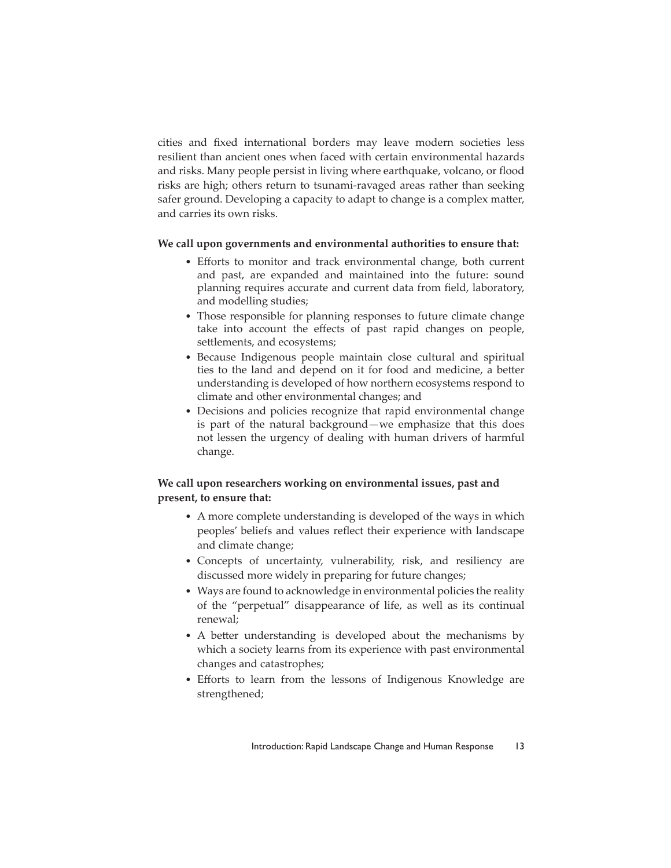cities and fixed international borders may leave modern societies less resilient than ancient ones when faced with certain environmental hazards and risks. Many people persist in living where earthquake, volcano, or flood risks are high; others return to tsunami-ravaged areas rather than seeking safer ground. Developing a capacity to adapt to change is a complex matter, and carries its own risks.

#### **We call upon governments and environmental authorities to ensure that:**

- Efforts to monitor and track environmental change, both current and past, are expanded and maintained into the future: sound planning requires accurate and current data from field, laboratory, and modelling studies;
- Those responsible for planning responses to future climate change take into account the effects of past rapid changes on people, settlements, and ecosystems;
- Because Indigenous people maintain close cultural and spiritual ties to the land and depend on it for food and medicine, a better understanding is developed of how northern ecosystems respond to climate and other environmental changes; and
- Decisions and policies recognize that rapid environmental change is part of the natural background—we emphasize that this does not lessen the urgency of dealing with human drivers of harmful change.

# **We call upon researchers working on environmental issues, past and present, to ensure that:**

- A more complete understanding is developed of the ways in which peoples' beliefs and values reflect their experience with landscape and climate change;
- Concepts of uncertainty, vulnerability, risk, and resiliency are discussed more widely in preparing for future changes;
- Ways are found to acknowledge in environmental policies the reality of the "perpetual" disappearance of life, as well as its continual renewal;
- A better understanding is developed about the mechanisms by which a society learns from its experience with past environmental changes and catastrophes;
- Efforts to learn from the lessons of Indigenous Knowledge are strengthened;